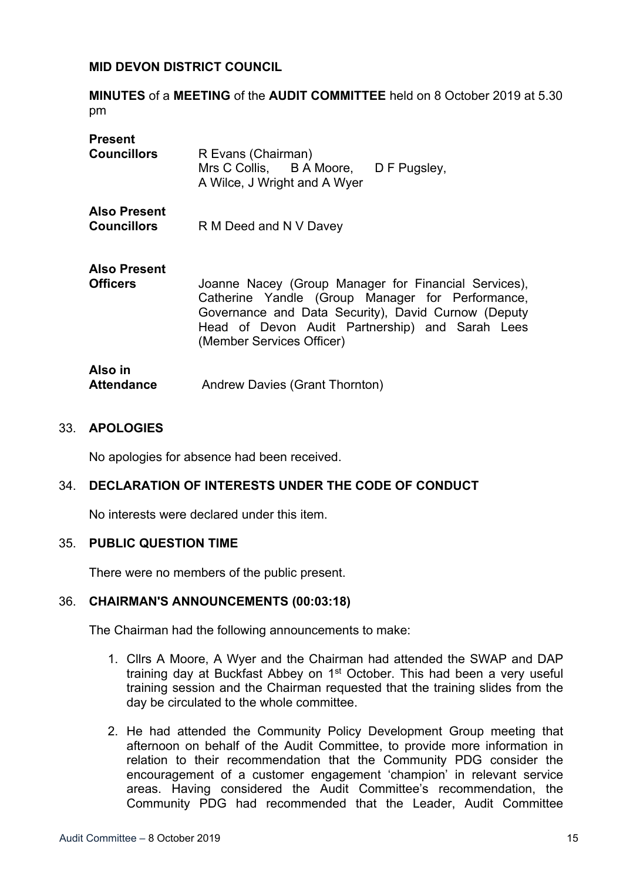## **MID DEVON DISTRICT COUNCIL**

**MINUTES** of a **MEETING** of the **AUDIT COMMITTEE** held on 8 October 2019 at 5.30 pm

| <b>Present</b><br><b>Councillors</b>      | R Evans (Chairman)<br>Mrs C Collis, B A Moore, D F Pugsley,<br>A Wilce, J Wright and A Wyer                                                                                                                                                     |
|-------------------------------------------|-------------------------------------------------------------------------------------------------------------------------------------------------------------------------------------------------------------------------------------------------|
| <b>Also Present</b><br><b>Councillors</b> | R M Deed and N V Davey                                                                                                                                                                                                                          |
| <b>Also Present</b><br><b>Officers</b>    | Joanne Nacey (Group Manager for Financial Services),<br>Catherine Yandle (Group Manager for Performance,<br>Governance and Data Security), David Curnow (Deputy<br>Head of Devon Audit Partnership) and Sarah Lees<br>(Member Services Officer) |
| Also in<br><b>Attendance</b>              | Andrew Davies (Grant Thornton)                                                                                                                                                                                                                  |

#### 33. **APOLOGIES**

No apologies for absence had been received.

## 34. **DECLARATION OF INTERESTS UNDER THE CODE OF CONDUCT**

No interests were declared under this item.

#### 35. **PUBLIC QUESTION TIME**

There were no members of the public present.

#### 36. **CHAIRMAN'S ANNOUNCEMENTS (00:03:18)**

The Chairman had the following announcements to make:

- 1. Cllrs A Moore, A Wyer and the Chairman had attended the SWAP and DAP training day at Buckfast Abbey on 1<sup>st</sup> October. This had been a very useful training session and the Chairman requested that the training slides from the day be circulated to the whole committee.
- 2. He had attended the Community Policy Development Group meeting that afternoon on behalf of the Audit Committee, to provide more information in relation to their recommendation that the Community PDG consider the encouragement of a customer engagement 'champion' in relevant service areas. Having considered the Audit Committee's recommendation, the Community PDG had recommended that the Leader, Audit Committee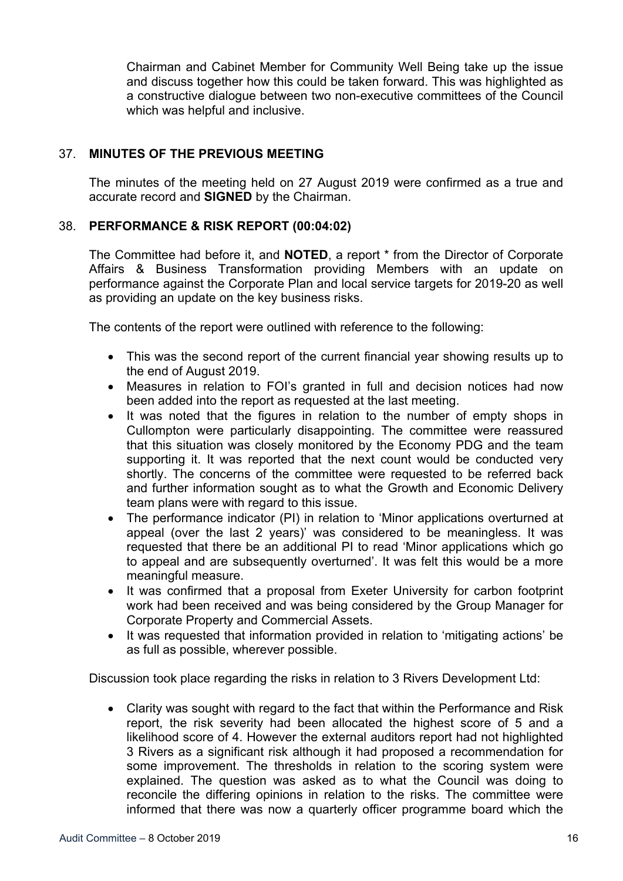Chairman and Cabinet Member for Community Well Being take up the issue and discuss together how this could be taken forward. This was highlighted as a constructive dialogue between two non-executive committees of the Council which was helpful and inclusive.

# 37. **MINUTES OF THE PREVIOUS MEETING**

The minutes of the meeting held on 27 August 2019 were confirmed as a true and accurate record and **SIGNED** by the Chairman.

## 38. **PERFORMANCE & RISK REPORT (00:04:02)**

The Committee had before it, and **NOTED**, a report \* from the Director of Corporate Affairs & Business Transformation providing Members with an update on performance against the Corporate Plan and local service targets for 2019-20 as well as providing an update on the key business risks.

The contents of the report were outlined with reference to the following:

- This was the second report of the current financial year showing results up to the end of August 2019.
- Measures in relation to FOI's granted in full and decision notices had now been added into the report as requested at the last meeting.
- It was noted that the figures in relation to the number of empty shops in Cullompton were particularly disappointing. The committee were reassured that this situation was closely monitored by the Economy PDG and the team supporting it. It was reported that the next count would be conducted very shortly. The concerns of the committee were requested to be referred back and further information sought as to what the Growth and Economic Delivery team plans were with regard to this issue.
- The performance indicator (PI) in relation to 'Minor applications overturned at appeal (over the last 2 years)' was considered to be meaningless. It was requested that there be an additional PI to read 'Minor applications which go to appeal and are subsequently overturned'. It was felt this would be a more meaningful measure.
- It was confirmed that a proposal from Exeter University for carbon footprint work had been received and was being considered by the Group Manager for Corporate Property and Commercial Assets.
- It was requested that information provided in relation to 'mitigating actions' be as full as possible, wherever possible.

Discussion took place regarding the risks in relation to 3 Rivers Development Ltd:

 Clarity was sought with regard to the fact that within the Performance and Risk report, the risk severity had been allocated the highest score of 5 and a likelihood score of 4. However the external auditors report had not highlighted 3 Rivers as a significant risk although it had proposed a recommendation for some improvement. The thresholds in relation to the scoring system were explained. The question was asked as to what the Council was doing to reconcile the differing opinions in relation to the risks. The committee were informed that there was now a quarterly officer programme board which the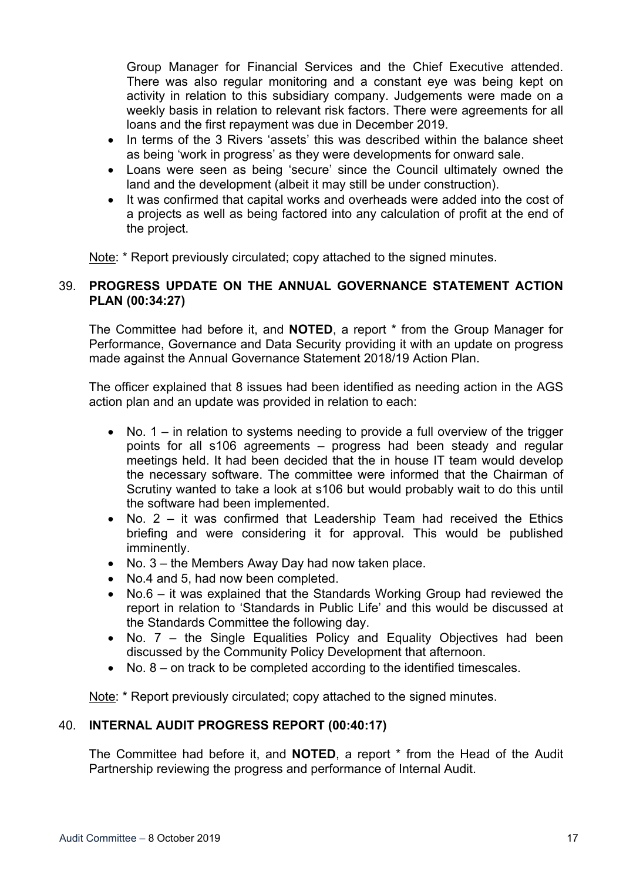Group Manager for Financial Services and the Chief Executive attended. There was also regular monitoring and a constant eye was being kept on activity in relation to this subsidiary company. Judgements were made on a weekly basis in relation to relevant risk factors. There were agreements for all loans and the first repayment was due in December 2019.

- In terms of the 3 Rivers 'assets' this was described within the balance sheet as being 'work in progress' as they were developments for onward sale.
- Loans were seen as being 'secure' since the Council ultimately owned the land and the development (albeit it may still be under construction).
- It was confirmed that capital works and overheads were added into the cost of a projects as well as being factored into any calculation of profit at the end of the project.

Note: \* Report previously circulated; copy attached to the signed minutes.

# 39. **PROGRESS UPDATE ON THE ANNUAL GOVERNANCE STATEMENT ACTION PLAN (00:34:27)**

The Committee had before it, and **NOTED**, a report \* from the Group Manager for Performance, Governance and Data Security providing it with an update on progress made against the Annual Governance Statement 2018/19 Action Plan.

The officer explained that 8 issues had been identified as needing action in the AGS action plan and an update was provided in relation to each:

- No. 1 in relation to systems needing to provide a full overview of the trigger points for all s106 agreements – progress had been steady and regular meetings held. It had been decided that the in house IT team would develop the necessary software. The committee were informed that the Chairman of Scrutiny wanted to take a look at s106 but would probably wait to do this until the software had been implemented.
- No.  $2 it$  was confirmed that Leadership Team had received the Ethics briefing and were considering it for approval. This would be published imminently.
- No. 3 the Members Away Day had now taken place.
- No.4 and 5, had now been completed.
- No.6 it was explained that the Standards Working Group had reviewed the report in relation to 'Standards in Public Life' and this would be discussed at the Standards Committee the following day.
- No. 7 the Single Equalities Policy and Equality Objectives had been discussed by the Community Policy Development that afternoon.
- No. 8 on track to be completed according to the identified timescales.

Note: \* Report previously circulated; copy attached to the signed minutes.

# 40. **INTERNAL AUDIT PROGRESS REPORT (00:40:17)**

The Committee had before it, and **NOTED**, a report \* from the Head of the Audit Partnership reviewing the progress and performance of Internal Audit.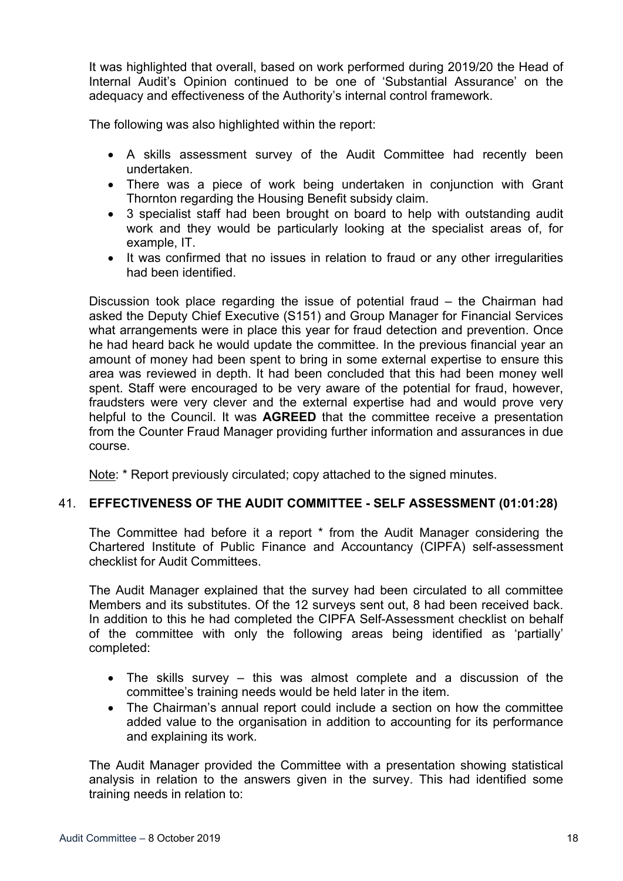It was highlighted that overall, based on work performed during 2019/20 the Head of Internal Audit's Opinion continued to be one of 'Substantial Assurance' on the adequacy and effectiveness of the Authority's internal control framework.

The following was also highlighted within the report:

- A skills assessment survey of the Audit Committee had recently been undertaken.
- There was a piece of work being undertaken in conjunction with Grant Thornton regarding the Housing Benefit subsidy claim.
- 3 specialist staff had been brought on board to help with outstanding audit work and they would be particularly looking at the specialist areas of, for example, IT.
- It was confirmed that no issues in relation to fraud or any other irregularities had been identified.

Discussion took place regarding the issue of potential fraud – the Chairman had asked the Deputy Chief Executive (S151) and Group Manager for Financial Services what arrangements were in place this year for fraud detection and prevention. Once he had heard back he would update the committee. In the previous financial year an amount of money had been spent to bring in some external expertise to ensure this area was reviewed in depth. It had been concluded that this had been money well spent. Staff were encouraged to be very aware of the potential for fraud, however, fraudsters were very clever and the external expertise had and would prove very helpful to the Council. It was **AGREED** that the committee receive a presentation from the Counter Fraud Manager providing further information and assurances in due course.

Note: \* Report previously circulated; copy attached to the signed minutes.

## 41. **EFFECTIVENESS OF THE AUDIT COMMITTEE - SELF ASSESSMENT (01:01:28)**

The Committee had before it a report \* from the Audit Manager considering the Chartered Institute of Public Finance and Accountancy (CIPFA) self-assessment checklist for Audit Committees.

The Audit Manager explained that the survey had been circulated to all committee Members and its substitutes. Of the 12 surveys sent out, 8 had been received back. In addition to this he had completed the CIPFA Self-Assessment checklist on behalf of the committee with only the following areas being identified as 'partially' completed:

- The skills survey this was almost complete and a discussion of the committee's training needs would be held later in the item.
- The Chairman's annual report could include a section on how the committee added value to the organisation in addition to accounting for its performance and explaining its work.

The Audit Manager provided the Committee with a presentation showing statistical analysis in relation to the answers given in the survey. This had identified some training needs in relation to: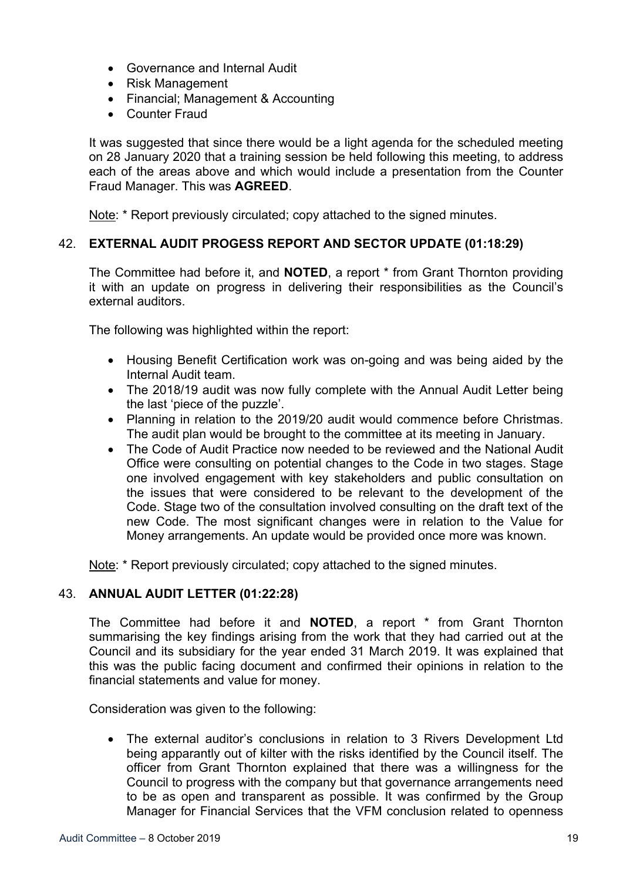- Governance and Internal Audit
- Risk Management
- Financial; Management & Accounting
- Counter Fraud

It was suggested that since there would be a light agenda for the scheduled meeting on 28 January 2020 that a training session be held following this meeting, to address each of the areas above and which would include a presentation from the Counter Fraud Manager. This was **AGREED**.

Note: \* Report previously circulated: copy attached to the signed minutes.

## 42. **EXTERNAL AUDIT PROGESS REPORT AND SECTOR UPDATE (01:18:29)**

The Committee had before it, and **NOTED**, a report \* from Grant Thornton providing it with an update on progress in delivering their responsibilities as the Council's external auditors.

The following was highlighted within the report:

- Housing Benefit Certification work was on-going and was being aided by the Internal Audit team.
- The 2018/19 audit was now fully complete with the Annual Audit Letter being the last 'piece of the puzzle'.
- Planning in relation to the 2019/20 audit would commence before Christmas. The audit plan would be brought to the committee at its meeting in January.
- The Code of Audit Practice now needed to be reviewed and the National Audit Office were consulting on potential changes to the Code in two stages. Stage one involved engagement with key stakeholders and public consultation on the issues that were considered to be relevant to the development of the Code. Stage two of the consultation involved consulting on the draft text of the new Code. The most significant changes were in relation to the Value for Money arrangements. An update would be provided once more was known.

Note: \* Report previously circulated; copy attached to the signed minutes.

## 43. **ANNUAL AUDIT LETTER (01:22:28)**

The Committee had before it and **NOTED**, a report \* from Grant Thornton summarising the key findings arising from the work that they had carried out at the Council and its subsidiary for the year ended 31 March 2019. It was explained that this was the public facing document and confirmed their opinions in relation to the financial statements and value for money.

Consideration was given to the following:

 The external auditor's conclusions in relation to 3 Rivers Development Ltd being apparantly out of kilter with the risks identified by the Council itself. The officer from Grant Thornton explained that there was a willingness for the Council to progress with the company but that governance arrangements need to be as open and transparent as possible. It was confirmed by the Group Manager for Financial Services that the VFM conclusion related to openness